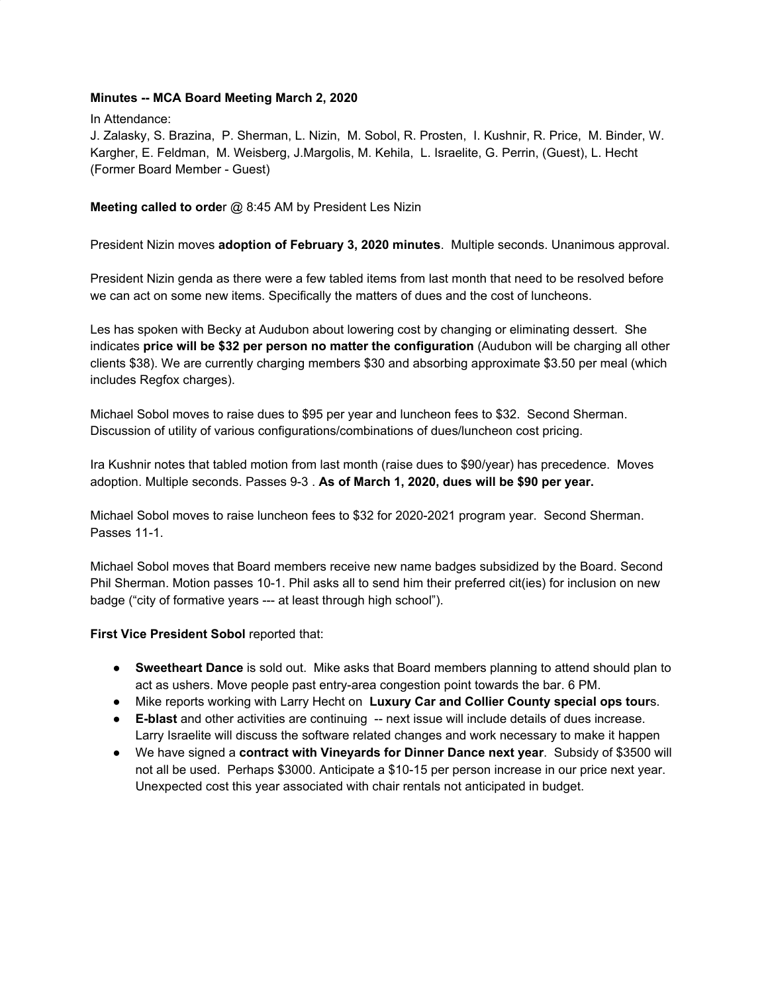#### **Minutes -- MCA Board Meeting March 2, 2020**

In Attendance:

J. Zalasky, S. Brazina, P. Sherman, L. Nizin, M. Sobol, R. Prosten, I. Kushnir, R. Price, M. Binder, W. Kargher, E. Feldman, M. Weisberg, J.Margolis, M. Kehila, L. Israelite, G. Perrin, (Guest), L. Hecht (Former Board Member - Guest)

#### **Meeting called to orde**r @ 8:45 AM by President Les Nizin

President Nizin moves **adoption of February 3, 2020 minutes**. Multiple seconds. Unanimous approval.

President Nizin genda as there were a few tabled items from last month that need to be resolved before we can act on some new items. Specifically the matters of dues and the cost of luncheons.

Les has spoken with Becky at Audubon about lowering cost by changing or eliminating dessert. She indicates **price will be \$32 per person no matter the configuration** (Audubon will be charging all other clients \$38). We are currently charging members \$30 and absorbing approximate \$3.50 per meal (which includes Regfox charges).

Michael Sobol moves to raise dues to \$95 per year and luncheon fees to \$32. Second Sherman. Discussion of utility of various configurations/combinations of dues/luncheon cost pricing.

Ira Kushnir notes that tabled motion from last month (raise dues to \$90/year) has precedence. Moves adoption. Multiple seconds. Passes 9-3 . **As of March 1, 2020, dues will be \$90 per year.**

Michael Sobol moves to raise luncheon fees to \$32 for 2020-2021 program year. Second Sherman. Passes 11-1.

Michael Sobol moves that Board members receive new name badges subsidized by the Board. Second Phil Sherman. Motion passes 10-1. Phil asks all to send him their preferred cit(ies) for inclusion on new badge ("city of formative years --- at least through high school").

#### **First Vice President Sobol** reported that:

- **Sweetheart Dance** is sold out. Mike asks that Board members planning to attend should plan to act as ushers. Move people past entry-area congestion point towards the bar. 6 PM.
- Mike reports working with Larry Hecht on **Luxury Car and Collier County special ops tour**s.
- **E-blast** and other activities are continuing -- next issue will include details of dues increase. Larry Israelite will discuss the software related changes and work necessary to make it happen
- We have signed a **contract with Vineyards for Dinner Dance next year**. Subsidy of \$3500 will not all be used. Perhaps \$3000. Anticipate a \$10-15 per person increase in our price next year. Unexpected cost this year associated with chair rentals not anticipated in budget.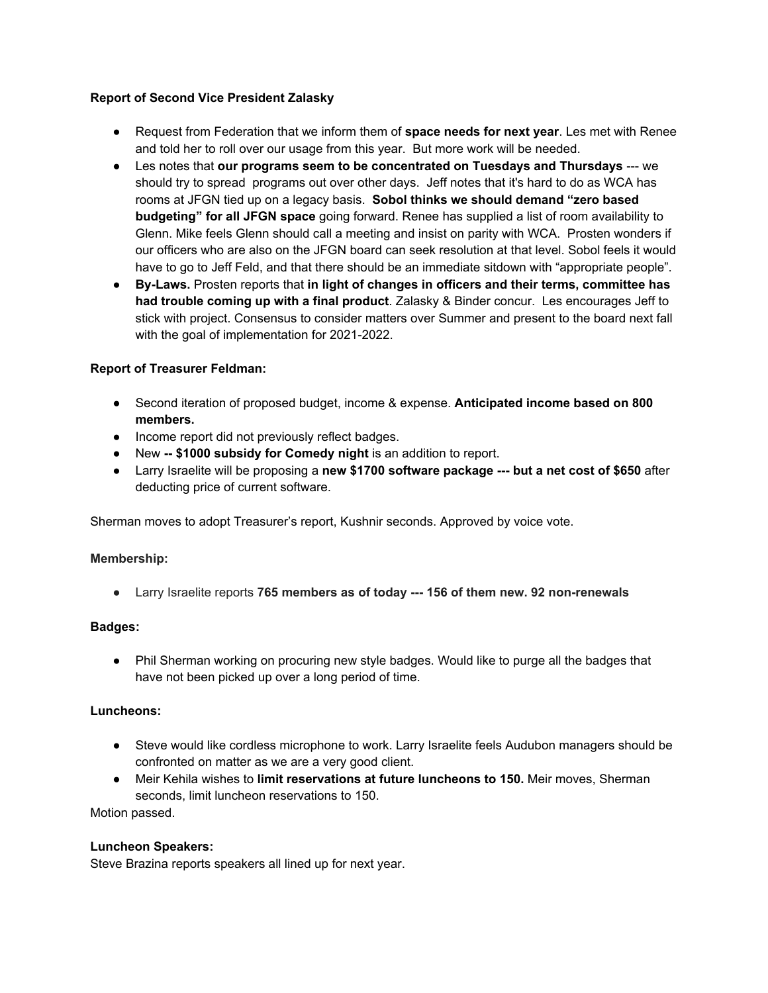# **Report of Second Vice President Zalasky**

- Request from Federation that we inform them of **space needs for next year**. Les met with Renee and told her to roll over our usage from this year. But more work will be needed.
- Les notes that **our programs seem to be concentrated on Tuesdays and Thursdays** --- we should try to spread programs out over other days. Jeff notes that it's hard to do as WCA has rooms at JFGN tied up on a legacy basis. **Sobol thinks we should demand "zero based budgeting" for all JFGN space** going forward. Renee has supplied a list of room availability to Glenn. Mike feels Glenn should call a meeting and insist on parity with WCA. Prosten wonders if our officers who are also on the JFGN board can seek resolution at that level. Sobol feels it would have to go to Jeff Feld, and that there should be an immediate sitdown with "appropriate people".
- **● By-Laws.** Prosten reports that **in light of changes in officers and their terms, committee has had trouble coming up with a final product**. Zalasky & Binder concur. Les encourages Jeff to stick with project. Consensus to consider matters over Summer and present to the board next fall with the goal of implementation for 2021-2022.

# **Report of Treasurer Feldman:**

- Second iteration of proposed budget, income & expense. **Anticipated income based on 800 members.**
- Income report did not previously reflect badges.
- New **-- \$1000 subsidy for Comedy night** is an addition to report.
- Larry Israelite will be proposing a **new \$1700 software package --- but a net cost of \$650** after deducting price of current software.

Sherman moves to adopt Treasurer's report, Kushnir seconds. Approved by voice vote.

# **Membership:**

**●** Larry Israelite reports **765 members as of today --- 156 of them new. 92 non-renewals**

#### **Badges:**

• Phil Sherman working on procuring new style badges. Would like to purge all the badges that have not been picked up over a long period of time.

# **Luncheons:**

- Steve would like cordless microphone to work. Larry Israelite feels Audubon managers should be confronted on matter as we are a very good client.
- Meir Kehila wishes to **limit reservations at future luncheons to 150.** Meir moves, Sherman seconds, limit luncheon reservations to 150.

Motion passed.

# **Luncheon Speakers:**

Steve Brazina reports speakers all lined up for next year.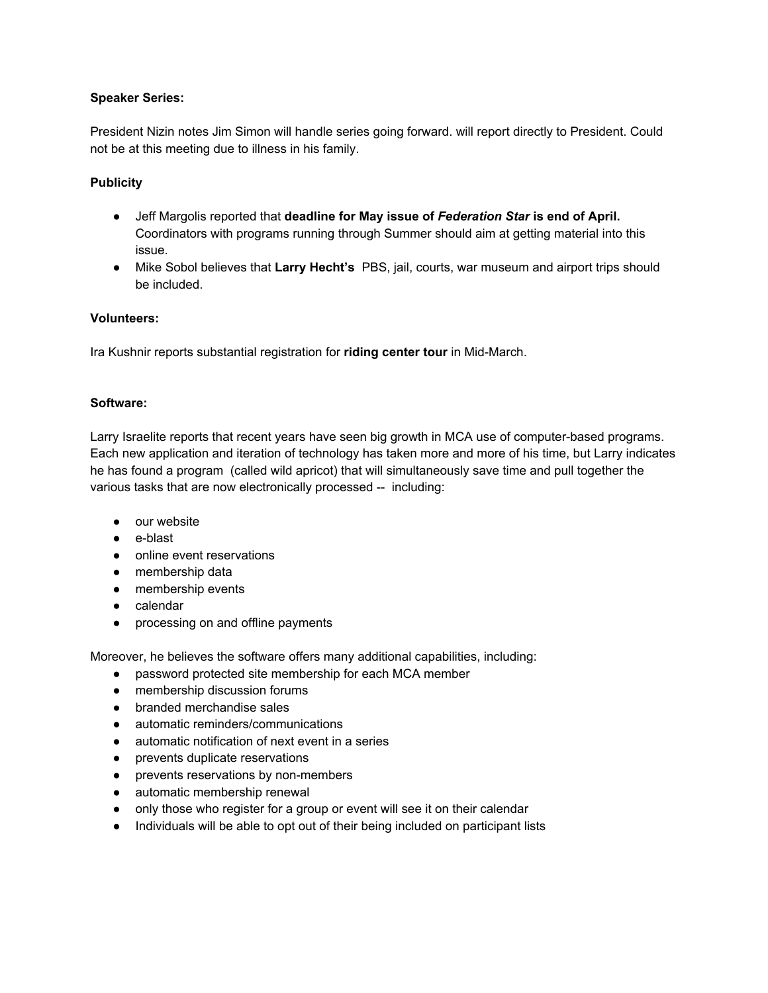# **Speaker Series:**

President Nizin notes Jim Simon will handle series going forward. will report directly to President. Could not be at this meeting due to illness in his family.

# **Publicity**

- Jeff Margolis reported that **deadline for May issue of** *Federation Star* **is end of April.** Coordinators with programs running through Summer should aim at getting material into this issue.
- Mike Sobol believes that **Larry Hecht's** PBS, jail, courts, war museum and airport trips should be included.

# **Volunteers:**

Ira Kushnir reports substantial registration for **riding center tour** in Mid-March.

#### **Software:**

Larry Israelite reports that recent years have seen big growth in MCA use of computer-based programs. Each new application and iteration of technology has taken more and more of his time, but Larry indicates he has found a program (called wild apricot) that will simultaneously save time and pull together the various tasks that are now electronically processed -- including:

- our website
- e-blast
- online event reservations
- membership data
- membership events
- calendar
- processing on and offline payments

Moreover, he believes the software offers many additional capabilities, including:

- password protected site membership for each MCA member
- membership discussion forums
- branded merchandise sales
- automatic reminders/communications
- automatic notification of next event in a series
- prevents duplicate reservations
- prevents reservations by non-members
- automatic membership renewal
- only those who register for a group or event will see it on their calendar
- Individuals will be able to opt out of their being included on participant lists